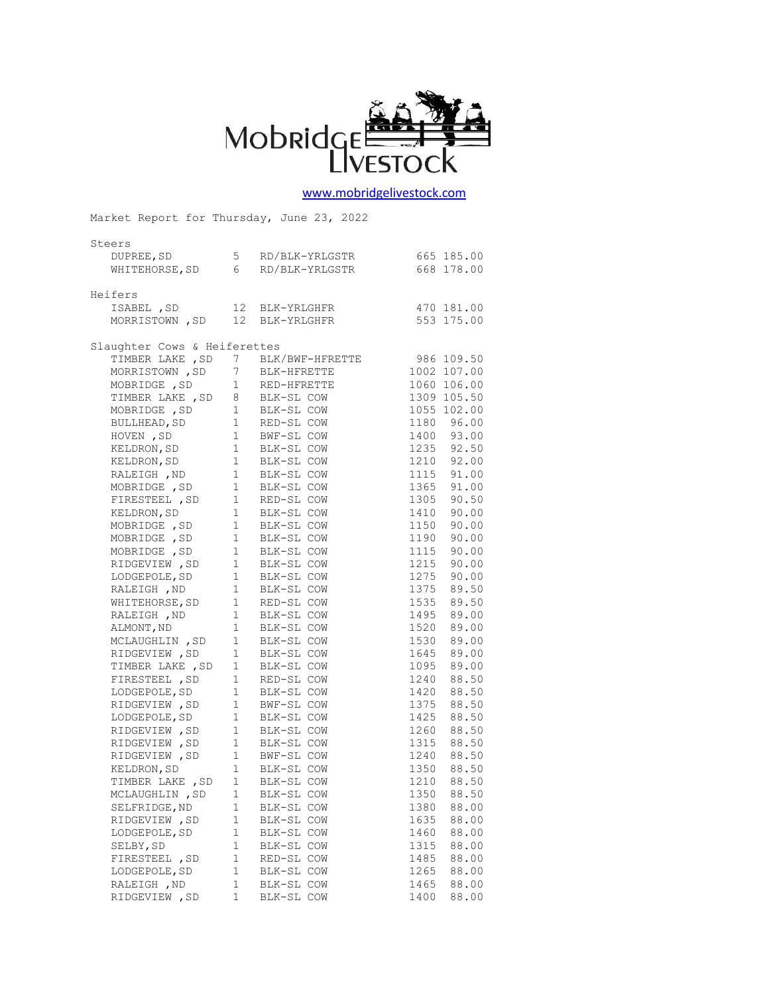

## [www.mobridgelivestock.com](http://www.mobridgelivestock.com/)

| Market Report for Thursday, June 23, 2022                                                               |                                       |                                         |      |             |  |  |
|---------------------------------------------------------------------------------------------------------|---------------------------------------|-----------------------------------------|------|-------------|--|--|
| Steers                                                                                                  |                                       |                                         |      |             |  |  |
| DUPREE, SD                                                                                              |                                       | 5 RD/BLK-YRLGSTR 665 185.00             |      |             |  |  |
| WHITEHORSE, SD 6                                                                                        |                                       | RD/BLK-YRLGSTR                          |      | 668 178.00  |  |  |
|                                                                                                         |                                       |                                         |      |             |  |  |
| Heifers                                                                                                 |                                       |                                         |      |             |  |  |
| ISABEL , SD                                                                                             |                                       | 12 BLK-YRLGHFR                          |      | 470 181.00  |  |  |
| MORRISTOWN , SD                                                                                         |                                       | 12 BLK-YRLGHFR                          |      | 553 175.00  |  |  |
|                                                                                                         |                                       |                                         |      |             |  |  |
| Slaughter Cows & Heiferettes                                                                            |                                       |                                         |      |             |  |  |
| TIMBER LAKE , SD 7 BLK/BWF-HFRETTE                                                                      |                                       |                                         |      | 986 109.50  |  |  |
| MORRISTOWN , SD                                                                                         | $7\phantom{.0}$                       | BLK-HFRETTE                             |      | 1002 107.00 |  |  |
| MOBRIDGE , SD                                                                                           |                                       | 1 RED-HFRETTE                           |      | 1060 106.00 |  |  |
|                                                                                                         |                                       |                                         |      | 1309 105.50 |  |  |
| TIMBER LAKE, SD 8 BLK-SL COW<br>MOBRIDGE, SD 1 BLK-SL COW<br>BULLHEAD, SD 1 RED-SL COW<br>MOBRIDGE , SD |                                       |                                         |      | 1055 102.00 |  |  |
|                                                                                                         |                                       |                                         |      | 1180 96.00  |  |  |
|                                                                                                         | $1 \quad \blacksquare$                |                                         |      | 1400 93.00  |  |  |
| HOVEN , SD                                                                                              |                                       | BWF-SL COW                              |      | 1235 92.50  |  |  |
| KELDRON, SD<br>"ביתחת                                                                                   |                                       | 1 BLK-SL COW<br><sup>1</sup> PLK-SL COW |      |             |  |  |
| KELDRON, SD<br>RALEIGH, ND 1                                                                            | 1                                     | BLK-SL COW                              |      | 1210 92.00  |  |  |
|                                                                                                         |                                       | BLK-SL COW                              |      | 1115 91.00  |  |  |
| MOBRIDGE , SD                                                                                           |                                       | 1 BLK-SL COW                            |      | 1365 91.00  |  |  |
| FIRESTEEL , SD                                                                                          | 1<br>1                                | RED-SL COW                              | 1305 | 90.50       |  |  |
| KELDRON, SD                                                                                             |                                       | BLK-SL COW                              | 1410 | 90.00       |  |  |
| MOBRIDGE, SD <sub>1</sub>                                                                               |                                       | BLK-SL COW                              | 1150 | 90.00       |  |  |
| MOBRIDGE , SD                                                                                           | $\begin{array}{c} 1 \\ 1 \end{array}$ | BLK-SL COW                              | 1190 | 90.00       |  |  |
| MOBRIDGE, SD                                                                                            |                                       | BLK-SL COW                              | 1115 | 90.00       |  |  |
| RIDGEVIEW, SD                                                                                           | 1                                     | BLK-SL COW                              | 1215 | 90.00       |  |  |
| LODGEPOLE, SD                                                                                           | $\mathbf{1}$                          | BLK-SL COW                              | 1275 | 90.00       |  |  |
| RALEIGH , ND                                                                                            | 1                                     | BLK-SL COW                              | 1375 | 89.50       |  |  |
| WHITEHORSE, SD                                                                                          | $1 -$                                 | RED-SL COW                              | 1535 | 89.50       |  |  |
| RALEIGH , ND                                                                                            | 1                                     | BLK-SL COW                              | 1495 | 89.00       |  |  |
| ALMONT, ND                                                                                              | $\mathbf 1$                           | BLK-SL COW                              | 1520 | 89.00       |  |  |
| MCLAUGHLIN, SD                                                                                          | $\mathbf{1}$                          | BLK-SL COW                              | 1530 | 89.00       |  |  |
| RIDGEVIEW, SD                                                                                           | 1                                     | BLK-SL COW                              | 1645 | 89.00       |  |  |
| TIMBER LAKE , SD<br>FIDFSTEEL . SD                                                                      | 1                                     | BLK-SL COW                              | 1095 | 89.00       |  |  |
| FIRESTEEL , SD                                                                                          |                                       | 1 RED-SL COW                            | 1240 | 88.50       |  |  |
| LODGEPOLE, SD                                                                                           | $1 \quad \blacksquare$                | BLK-SL COW                              | 1420 | 88.50       |  |  |
| RIDGEVIEW , SD 1 BWF-SL COW<br>LODGEPOLE, SD 1 BLK-SL COW                                               |                                       |                                         | 1375 | 88.50       |  |  |
|                                                                                                         |                                       |                                         | 1425 | 88.50       |  |  |
| RIDGEVIEW, SD 1 BLK-SL COW                                                                              |                                       |                                         |      | 1260 88.50  |  |  |
| RIDGEVIEW, SD 1 BLK-SL COW<br>RIDGEVIEW.SD 1 BWF-SL COW                                                 |                                       |                                         |      | 1315 88.50  |  |  |
| RIDGEVIEW, SD                                                                                           | 1                                     | BWF-SL COW                              | 1240 | 88.50       |  |  |
| KELDRON, SD                                                                                             |                                       | 1 BLK-SL COW                            |      | 1350 88.50  |  |  |
| TIMBER LAKE, SD                                                                                         | 1                                     | BLK-SL COW                              | 1210 | 88.50       |  |  |
| MCLAUGHLIN, SD                                                                                          | 1                                     | BLK-SL COW                              | 1350 | 88.50       |  |  |
| SELFRIDGE, ND                                                                                           | $\mathbf 1$                           | BLK-SL COW                              | 1380 | 88.00       |  |  |
| RIDGEVIEW, SD                                                                                           | 1                                     | BLK-SL COW                              | 1635 | 88.00       |  |  |
| LODGEPOLE, SD                                                                                           | $\mathbf 1$                           | BLK-SL COW                              | 1460 | 88.00       |  |  |
| SELBY, SD                                                                                               | $\mathbf 1$                           | BLK-SL COW                              | 1315 | 88.00       |  |  |
| FIRESTEEL , SD                                                                                          | $\mathbf 1$                           | RED-SL COW                              | 1485 | 88.00       |  |  |
| LODGEPOLE, SD                                                                                           | 1                                     | BLK-SL COW                              | 1265 | 88.00       |  |  |
| RALEIGH , ND                                                                                            | 1                                     | BLK-SL COW                              | 1465 | 88.00       |  |  |
| RIDGEVIEW, SD                                                                                           | 1                                     | BLK-SL COW                              | 1400 | 88.00       |  |  |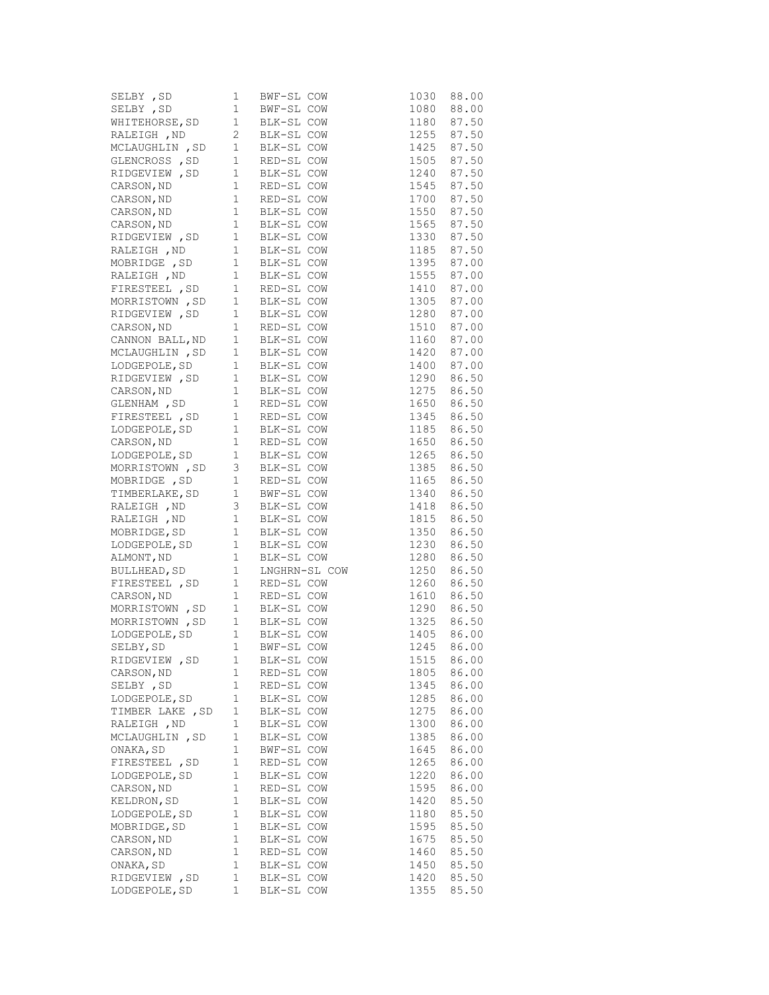| SELBY , SD                                           | $\mathbf 1$  | BWF-SL COW |                                           | 1030                     | 88.00 |
|------------------------------------------------------|--------------|------------|-------------------------------------------|--------------------------|-------|
| SELBY , SD                                           | $\mathbf{1}$ | BWF-SL COW |                                           | 1080                     | 88.00 |
| WHITEHORSE, SD                                       | 1            | BLK-SL COW |                                           | 1180 87.50               |       |
|                                                      | $\mathbf{2}$ | BLK-SL COW |                                           |                          |       |
| RALEIGH ,ND<br>MCLAUGHLIN ,SD                        | $\mathbf{1}$ | BLK-SL COW |                                           | 1255 87.50<br>1425 87.50 |       |
| GLENCROSS , SD                                       | $1\,$        | RED-SL COW |                                           | 1505 87.50               |       |
| RIDGEVIEW, SD <sub>1</sub>                           |              | BLK-SL COW |                                           | 1240 87.50               |       |
| CARSON, ND                                           | $\mathbf{1}$ | RED-SL COW |                                           | 1545 87.50               |       |
| CARSON, ND                                           | $\mathbf{1}$ | RED-SL COW |                                           | 1700 87.50               |       |
| CARSON, ND                                           | $\mathbf{1}$ | BLK-SL COW |                                           | 1550 87.50               |       |
| CARSON, ND                                           | $\mathbf{1}$ | BLK-SL COW |                                           | 1565 87.50               |       |
| CARSON, ND 1<br>RIDGEVIEW, SD 1                      |              | BLK-SL COW |                                           | 1330 87.50               |       |
| RALEIGH , ND                                         | 1            | BLK-SL COW |                                           | 1185 87.50               |       |
| MOBRIDGE , SD                                        | $\mathbf{1}$ | BLK-SL COW |                                           |                          |       |
| RALEIGH , ND                                         | $\mathbf{1}$ | BLK-SL COW |                                           | 1395 87.00<br>1555 87.00 |       |
| FIRESTEEL , SD                                       | $\mathbf{1}$ | RED-SL COW |                                           | 1410 87.00               |       |
| MORRISTOWN , SD                                      | 1            | BLK-SL COW |                                           | 1305 87.00               |       |
| RIDGEVIEW, SD                                        | $\mathbf{1}$ | BLK-SL COW |                                           | 1280 87.00               |       |
| CARSON, ND                                           | $\mathbf{1}$ | RED-SL COW |                                           | 1510 87.00               |       |
| CANNON BALL, ND                                      | $\mathbf{1}$ | BLK-SL COW |                                           | 1160 87.00               |       |
| MCLAUGHLIN, SD                                       | $\mathbf{1}$ | BLK-SL COW |                                           | 1420 87.00               |       |
| LODGEPOLE, SD                                        | $\mathbf{1}$ | BLK-SL COW |                                           | 1400 87.00               |       |
| RIDGEVIEW, SD                                        | 1            | BLK-SL COW |                                           | 1290 86.50               |       |
|                                                      | $\mathbf{1}$ | BLK-SL COW |                                           | 1275 86.50               |       |
| CARSON, ND<br>GLENHAM , SD                           | $\mathbf{1}$ | RED-SL COW |                                           | 1650 86.50               |       |
| FIRESTEEL , SD                                       | 1            | RED-SL COW |                                           | 1345 86.50               |       |
| LODGEPOLE, SD                                        | $\mathbf{1}$ | BLK-SL COW |                                           | 1185 86.50               |       |
| CARSON, ND                                           | $\mathbf{1}$ | RED-SL COW |                                           | 1650 86.50               |       |
| LODGEPOLE, SD                                        | $\mathbf{1}$ | BLK-SL COW |                                           | 1265 86.50               |       |
| MORRISTOWN , SD                                      | 3            | BLK-SL COW |                                           | 1385 86.50               |       |
|                                                      | $\mathbf{1}$ | RED-SL COW |                                           | 1165 86.50               |       |
| MOBRIDGE , SD<br>TIMBERLAKE, SD                      | $\mathbf{1}$ | BWF-SL COW |                                           | 1340 86.50               |       |
| RALEIGH , ND                                         | 3            | BLK-SL COW |                                           | 1418                     | 86.50 |
| RALEIGH , ND                                         | $\mathbf{1}$ | BLK-SL COW |                                           | 1815                     | 86.50 |
| MOBRIDGE,SD                                          | $\mathbf{1}$ | BLK-SL COW |                                           | 1350 86.50               |       |
| LODGEPOLE, SD                                        | $\mathbf{1}$ | BLK-SL COW |                                           | 1230                     | 86.50 |
| ALMONT, ND                                           | $\mathbf{1}$ |            |                                           | 1280                     | 86.50 |
| BULLHEAD, SD                                         | $\mathbf{1}$ |            | BLK-SL COW<br>LNGHRN-SL COW<br>RED-SL COW | 1250                     | 86.50 |
| FIRESTEEL , SD                                       | 1            |            |                                           | 1260                     | 86.50 |
|                                                      |              | RED-SL COW |                                           | 1610 86.50               |       |
| CARSON, ND<br>MORRISTOWN , SD 1<br>MORRISTOWN , SD 1 |              | BLK-SL COW |                                           | 1290                     | 86.50 |
|                                                      |              |            | BLK-SL COW<br>BLK-SL COW<br>BWF-SL COW    | 1325 86.50               |       |
| LODGEPOLE, SD                                        | 1            |            |                                           | 1405 86.00               |       |
| SELBY, SD                                            | $\mathbf 1$  | BWF-SL COW |                                           | 1245                     | 86.00 |
| RIDGEVIEW, SD                                        | 1            | BLK-SL COW |                                           | 1515                     | 86.00 |
| CARSON, ND                                           | 1            | RED-SL COW |                                           | 1805                     | 86.00 |
| SELBY, SD                                            | 1            | RED-SL COW |                                           | 1345                     | 86.00 |
| LODGEPOLE, SD                                        | 1            | BLK-SL COW |                                           | 1285                     | 86.00 |
| TIMBER LAKE , SD                                     | $\mathbf 1$  | BLK-SL COW |                                           | 1275                     | 86.00 |
| RALEIGH , ND                                         | 1            | BLK-SL COW |                                           | 1300                     | 86.00 |
| MCLAUGHLIN, SD                                       | $\mathbf 1$  | BLK-SL COW |                                           | 1385                     | 86.00 |
| ONAKA, SD                                            | $\mathbf 1$  | BWF-SL COW |                                           | 1645                     | 86.00 |
| FIRESTEEL , SD                                       | $\mathbf 1$  | RED-SL COW |                                           | 1265                     | 86.00 |
| LODGEPOLE, SD                                        | $\mathbf 1$  | BLK-SL COW |                                           | 1220                     | 86.00 |
| CARSON, ND                                           | $\mathbf 1$  | RED-SL COW |                                           | 1595                     | 86.00 |
| KELDRON, SD                                          | $\mathbf 1$  | BLK-SL COW |                                           | 1420                     | 85.50 |
| LODGEPOLE, SD                                        | $\mathbf 1$  | BLK-SL COW |                                           | 1180                     | 85.50 |
| MOBRIDGE, SD                                         | $\mathbf 1$  | BLK-SL COW |                                           | 1595                     | 85.50 |
| CARSON, ND                                           | $\mathbf 1$  | BLK-SL COW |                                           | 1675                     | 85.50 |
| CARSON, ND                                           | 1            | RED-SL COW |                                           | 1460                     | 85.50 |
| ONAKA, SD                                            | $\mathbf 1$  | BLK-SL COW |                                           | 1450                     | 85.50 |
| RIDGEVIEW, SD                                        | $\mathbf 1$  | BLK-SL COW |                                           | 1420                     | 85.50 |
| LODGEPOLE, SD                                        | 1            | BLK-SL COW |                                           | 1355                     | 85.50 |
|                                                      |              |            |                                           |                          |       |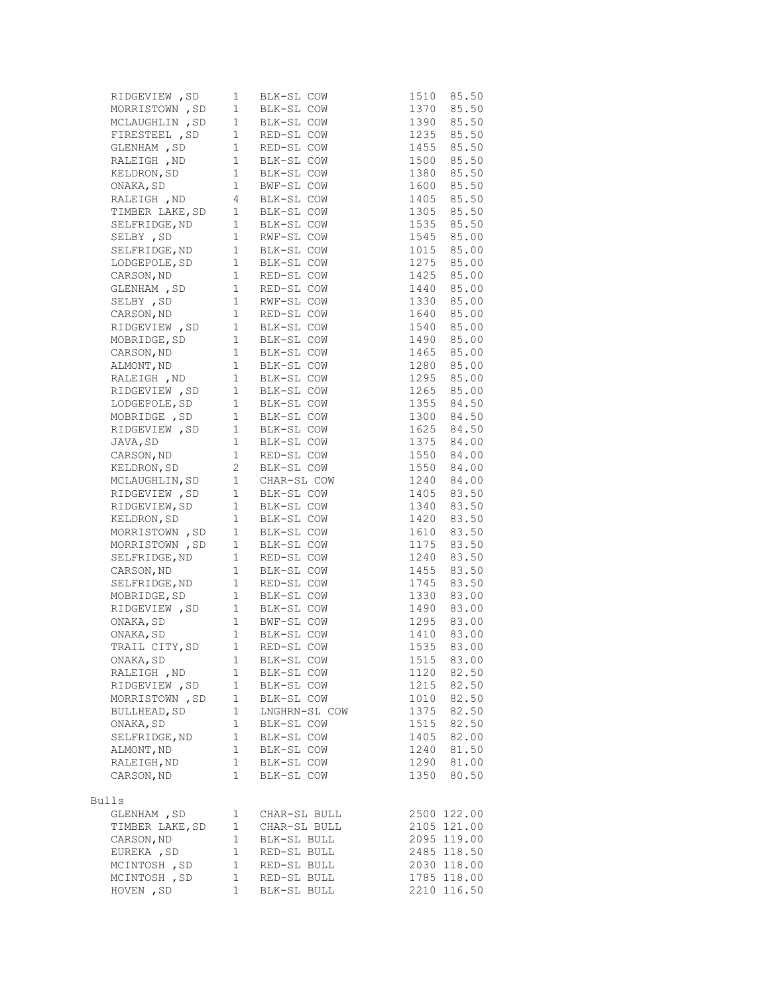| RIDGEVIEW, SD <sub>1</sub>                                                             |             | BLK-SL COW<br>BLK-SL COW<br>BLK-SL COW<br>RED-SL COW<br>RED-SL COW                                                                                                                                                                             |                                        | 1510 85.50  |
|----------------------------------------------------------------------------------------|-------------|------------------------------------------------------------------------------------------------------------------------------------------------------------------------------------------------------------------------------------------------|----------------------------------------|-------------|
| MORRISTOWN, SD <sub>1</sub>                                                            |             |                                                                                                                                                                                                                                                |                                        | 1370 85.50  |
| MCLAUGHLIN, SD <sub>1</sub>                                                            |             |                                                                                                                                                                                                                                                |                                        | 1390 85.50  |
|                                                                                        |             |                                                                                                                                                                                                                                                |                                        | 1235 85.50  |
|                                                                                        |             |                                                                                                                                                                                                                                                |                                        | 1455 85.50  |
|                                                                                        |             | FIRESTEEL, SD 1 RED-SL COW<br>GLENHAM, SD 1 RED-SL COW<br>RALEIGH, ND 1 BLK-SL COW<br>RELDRON, SD 1 BLK-SL COW<br>NAKA, SD 1 BLK-SL COW<br>NAKA, SD 1 BWF-SL COW<br>RALEIGH, ND 4 BLK-SL COW<br>RALEIGH, ND 4 BLK-SL COW                       |                                        | 1500 85.50  |
|                                                                                        |             |                                                                                                                                                                                                                                                |                                        |             |
|                                                                                        |             |                                                                                                                                                                                                                                                | 1380 85.50<br>1600 85.50               | 1600 85.50  |
|                                                                                        |             |                                                                                                                                                                                                                                                |                                        | 1405 85.50  |
|                                                                                        |             |                                                                                                                                                                                                                                                |                                        | 1305 85.50  |
|                                                                                        |             |                                                                                                                                                                                                                                                |                                        | 1535 85.50  |
|                                                                                        |             |                                                                                                                                                                                                                                                |                                        | 1545 85.00  |
|                                                                                        |             | RALEIGH , ND 4 BLK-SL COW<br>TIMBER LAKE, SD 1 BLK-SL COW<br>SELFRIDGE, ND 1 BLK-SL COW<br>SELFRIDGE, ND 1 BLK-SL COW<br>SELFRIDGE, ND 1 BLK-SL COW<br>LODGEPOLE, SD 1 RED-SL COW<br>CARSON, ND 1 RED-SL COW<br>SELBY , SD 1 RED-SL COW<br>SEL |                                        | 1015 85.00  |
|                                                                                        |             |                                                                                                                                                                                                                                                |                                        | 1275 85.00  |
|                                                                                        |             |                                                                                                                                                                                                                                                |                                        | 1425 85.00  |
|                                                                                        |             |                                                                                                                                                                                                                                                |                                        | 1440 85.00  |
|                                                                                        |             |                                                                                                                                                                                                                                                |                                        |             |
|                                                                                        |             |                                                                                                                                                                                                                                                | 1330 85.00<br>1640 85.00               |             |
|                                                                                        |             | RIDGEVIEW, SD 1 BLK-SL COW 1540 85.00                                                                                                                                                                                                          |                                        |             |
|                                                                                        |             |                                                                                                                                                                                                                                                |                                        |             |
|                                                                                        |             |                                                                                                                                                                                                                                                | 1490 85.00<br>1465 85.00               | 1465 85.00  |
|                                                                                        |             |                                                                                                                                                                                                                                                |                                        | 1280 85.00  |
|                                                                                        |             |                                                                                                                                                                                                                                                |                                        |             |
|                                                                                        |             |                                                                                                                                                                                                                                                |                                        |             |
|                                                                                        |             | MOBRIDGE, SD 1 BLK-SL COW<br>CARSON, ND 1 BLK-SL COW<br>ALMONT, ND 1 BLK-SL COW<br>RALEIGH , ND 1 BLK-SL COW<br>RIDGEVIEW , SD 1 BLK-SL COW<br>LODGEPOLE, SD 1 BLK-SL COW<br>LODGEPOLE, SD 1 BLK-SL COW<br>LODGEPOLE, SD 1 BLK-SL COW          | 1295 85.00<br>1265 85.00<br>1355 84.50 |             |
|                                                                                        |             | MOBRIDGE, SD 1 BLK-SL COW                                                                                                                                                                                                                      | 1300 84.50                             |             |
|                                                                                        |             |                                                                                                                                                                                                                                                |                                        |             |
| RIDGEVIEW , SD 1 BLK-SL COW<br>JAVA, SD 1 BLK-SL COW<br>CARSON, ND 1 RED-SL COW        |             |                                                                                                                                                                                                                                                | 1625 84.50<br>1375 84.00               |             |
|                                                                                        |             | RED-SL COW                                                                                                                                                                                                                                     | 1550 84.00                             |             |
|                                                                                        |             |                                                                                                                                                                                                                                                |                                        |             |
| ELDRON, SD<br>MCLAUGHLIN, SD<br>1 CHAR-SL COW<br>RIDGEVIEW, SD<br>1 BLK-SL COW         |             |                                                                                                                                                                                                                                                | $1550$ 84.00<br>1550 84.00             | 1240 84.00  |
|                                                                                        |             |                                                                                                                                                                                                                                                |                                        | 1405 83.50  |
|                                                                                        |             |                                                                                                                                                                                                                                                | 1340 83.50                             |             |
| RIDGEVIEW, SD 1 BLK-SL COW<br>KELDRON, SD 1 BLK-SL COW<br>MORRISTOWN , SD 1 BLK-SL COW |             |                                                                                                                                                                                                                                                |                                        | 1420 83.50  |
|                                                                                        |             |                                                                                                                                                                                                                                                |                                        | 1610 83.50  |
|                                                                                        |             | MORRISTOWN, SD 1 BLK-SL COW                                                                                                                                                                                                                    |                                        | 1175 83.50  |
|                                                                                        |             |                                                                                                                                                                                                                                                |                                        |             |
|                                                                                        |             | WORKLSTOWN , SD 1 BLK-SL COW<br>SELFRIDGE, ND 1 RED-SL COW<br>CARSON, ND 1 BLK-SL COW<br>SELFRIDGE, ND 1 RED-SL COW<br>MOBRIDGE, SD 1 BLK-SL COW<br>RIDGEVIEW , SD 1 BLK-SL COW<br>ONAKA, SD 1 BWF-SL COW<br>ONAKA, SD 1 BLK-SL COW<br>TRAIL C | 1240 83.50<br>1455 83.50               |             |
|                                                                                        |             |                                                                                                                                                                                                                                                | 1745 83.50                             |             |
|                                                                                        |             |                                                                                                                                                                                                                                                | $1330$ $83.00$<br>$1490$ $92.00$       |             |
|                                                                                        |             |                                                                                                                                                                                                                                                |                                        | 1490 83.00  |
|                                                                                        |             |                                                                                                                                                                                                                                                |                                        | 1295 83.00  |
|                                                                                        |             |                                                                                                                                                                                                                                                |                                        | 1410 83.00  |
|                                                                                        |             | BWF-SL COW<br>BLK-SL COW<br>RED-SL COW                                                                                                                                                                                                         | 1535                                   | 83.00       |
| ONAKA, SD                                                                              | 1           | BLK-SL COW                                                                                                                                                                                                                                     | 1515                                   | 83.00       |
| RALEIGH , ND                                                                           | 1           | BLK-SL COW                                                                                                                                                                                                                                     | 1120                                   | 82.50       |
| RIDGEVIEW, SD                                                                          | 1           | BLK-SL COW                                                                                                                                                                                                                                     | 1215                                   | 82.50       |
| MORRISTOWN , SD                                                                        | 1           | BLK-SL COW                                                                                                                                                                                                                                     | 1010                                   | 82.50       |
| BULLHEAD, SD                                                                           | $\mathbf 1$ | LNGHRN-SL COW                                                                                                                                                                                                                                  | 1375                                   | 82.50       |
| ONAKA, SD                                                                              | 1           | BLK-SL COW                                                                                                                                                                                                                                     | 1515                                   | 82.50       |
| SELFRIDGE, ND                                                                          | 1           | BLK-SL COW                                                                                                                                                                                                                                     | 1405                                   | 82.00       |
| ALMONT, ND                                                                             | 1           | BLK-SL COW                                                                                                                                                                                                                                     | 1240                                   | 81.50       |
| RALEIGH, ND                                                                            | 1           | BLK-SL COW                                                                                                                                                                                                                                     | 1290                                   | 81.00       |
| CARSON, ND                                                                             | 1           | BLK-SL COW                                                                                                                                                                                                                                     | 1350                                   | 80.50       |
|                                                                                        |             |                                                                                                                                                                                                                                                |                                        |             |
| Bulls                                                                                  |             |                                                                                                                                                                                                                                                |                                        |             |
| GLENHAM , SD                                                                           | 1           | CHAR-SL BULL                                                                                                                                                                                                                                   |                                        | 2500 122.00 |
| TIMBER LAKE, SD                                                                        | 1           | CHAR-SL BULL                                                                                                                                                                                                                                   |                                        | 2105 121.00 |
| CARSON, ND                                                                             | 1           | BLK-SL BULL                                                                                                                                                                                                                                    |                                        | 2095 119.00 |
| EUREKA, SD                                                                             | 1           | RED-SL BULL                                                                                                                                                                                                                                    |                                        | 2485 118.50 |
| MCINTOSH , SD                                                                          | $\mathbf 1$ | RED-SL BULL                                                                                                                                                                                                                                    |                                        | 2030 118.00 |
| MCINTOSH, SD                                                                           | 1           | RED-SL BULL                                                                                                                                                                                                                                    |                                        | 1785 118.00 |
| HOVEN, SD                                                                              | 1           | BLK-SL BULL                                                                                                                                                                                                                                    |                                        | 2210 116.50 |